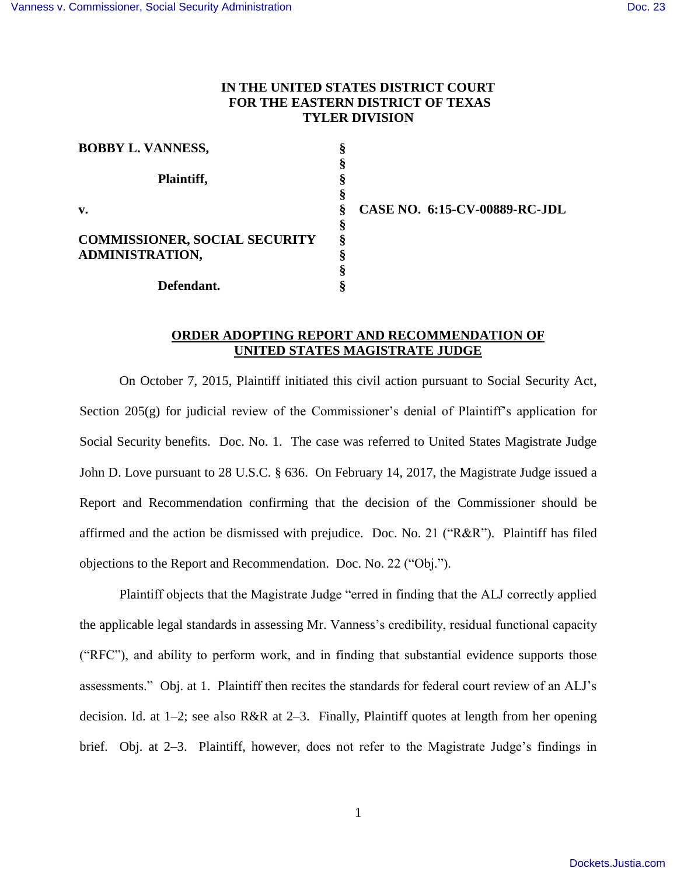## **IN THE UNITED STATES DISTRICT COURT FOR THE EASTERN DISTRICT OF TEXAS TYLER DIVISION**

| <b>BOBBY L. VANNESS,</b>             |   |             |
|--------------------------------------|---|-------------|
|                                      |   |             |
| Plaintiff,                           |   |             |
|                                      |   |             |
| $\mathbf{v}$ .                       | ş | <b>CASE</b> |
|                                      | ş |             |
| <b>COMMISSIONER, SOCIAL SECURITY</b> | ş |             |
| <b>ADMINISTRATION,</b>               |   |             |
|                                      |   |             |
| Defendant.                           |   |             |

**CASE NO. 6:15-CV-00889-RC-JDL** 

## **ORDER ADOPTING REPORT AND RECOMMENDATION OF UNITED STATES MAGISTRATE JUDGE**

On October 7, 2015, Plaintiff initiated this civil action pursuant to Social Security Act, Section 205(g) for judicial review of the Commissioner's denial of Plaintiff's application for Social Security benefits. Doc. No. 1. The case was referred to United States Magistrate Judge John D. Love pursuant to 28 U.S.C. § 636. On February 14, 2017, the Magistrate Judge issued a Report and Recommendation confirming that the decision of the Commissioner should be affirmed and the action be dismissed with prejudice. Doc. No. 21 ("R&R"). Plaintiff has filed objections to the Report and Recommendation. Doc. No. 22 ("Obj.").

Plaintiff objects that the Magistrate Judge "erred in finding that the ALJ correctly applied the applicable legal standards in assessing Mr. Vanness's credibility, residual functional capacity ("RFC"), and ability to perform work, and in finding that substantial evidence supports those assessments." Obj. at 1. Plaintiff then recites the standards for federal court review of an ALJ's decision. Id. at 1–2; see also R&R at 2–3. Finally, Plaintiff quotes at length from her opening brief. Obj. at 2–3. Plaintiff, however, does not refer to the Magistrate Judge's findings in

1